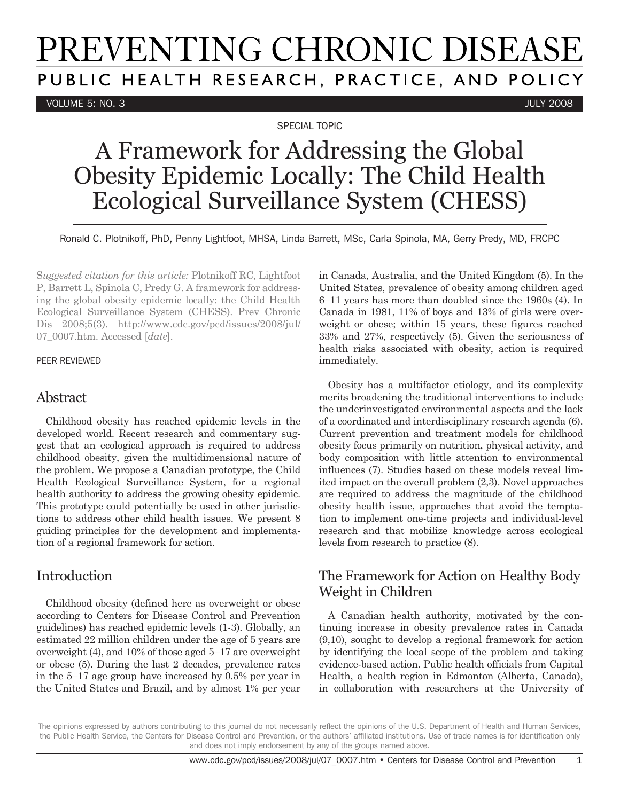# PREVENTING CHRONIC DISEASE PUBLIC HEALTH RESEARCH, PRACTICE, AND POLICY

VOLUME 5: NO. 3 JULY 2008

SPECIAL TOPIC

## A Framework for Addressing the Global Obesity Epidemic Locally: The Child Health Ecological Surveillance System (CHESS)

Ronald C. Plotnikoff, PhD, Penny Lightfoot, MHSA, Linda Barrett, MSc, Carla Spinola, MA, Gerry Predy, MD, FRCPC

S*uggested citation for this article:* Plotnikoff RC, Lightfoot P, Barrett L, Spinola C, Predy G. A framework for addressing the global obesity epidemic locally: the Child Health Ecological Surveillance System (CHESS). Prev Chronic Dis 2008;5(3). http://www.cdc.gov/pcd/issues/2008/jul/ 07\_0007.htm. Accessed [*date*].

#### PEER REVIEWED

#### Abstract

Childhood obesity has reached epidemic levels in the developed world. Recent research and commentary suggest that an ecological approach is required to address childhood obesity, given the multidimensional nature of the problem. We propose a Canadian prototype, the Child Health Ecological Surveillance System, for a regional health authority to address the growing obesity epidemic. This prototype could potentially be used in other jurisdictions to address other child health issues. We present 8 guiding principles for the development and implementation of a regional framework for action.

## Introduction

Childhood obesity (defined here as overweight or obese according to Centers for Disease Control and Prevention guidelines) has reached epidemic levels (1-3). Globally, an estimated 22 million children under the age of 5 years are overweight (4), and 10% of those aged 5–17 are overweight or obese (5). During the last 2 decades, prevalence rates in the 5–17 age group have increased by 0.5% per year in the United States and Brazil, and by almost 1% per year in Canada, Australia, and the United Kingdom (5). In the United States, prevalence of obesity among children aged 6–11 years has more than doubled since the 1960s (4). In Canada in 1981, 11% of boys and 13% of girls were overweight or obese; within 15 years, these figures reached 33% and 27%, respectively (5). Given the seriousness of health risks associated with obesity, action is required immediately.

Obesity has a multifactor etiology, and its complexity merits broadening the traditional interventions to include the underinvestigated environmental aspects and the lack of a coordinated and interdisciplinary research agenda (6). Current prevention and treatment models for childhood obesity focus primarily on nutrition, physical activity, and body composition with little attention to environmental influences (7). Studies based on these models reveal limited impact on the overall problem (2,3). Novel approaches are required to address the magnitude of the childhood obesity health issue, approaches that avoid the temptation to implement one-time projects and individual-level research and that mobilize knowledge across ecological levels from research to practice (8).

## The Framework for Action on Healthy Body Weight in Children

A Canadian health authority, motivated by the continuing increase in obesity prevalence rates in Canada (9,10), sought to develop a regional framework for action by identifying the local scope of the problem and taking evidence-based action. Public health officials from Capital Health, a health region in Edmonton (Alberta, Canada), in collaboration with researchers at the University of

The opinions expressed by authors contributing to this journal do not necessarily reflect the opinions of the U.S. Department of Health and Human Services, the Public Health Service, the Centers for Disease Control and Prevention, or the authors' affiliated institutions. Use of trade names is for identification only and does not imply endorsement by any of the groups named above.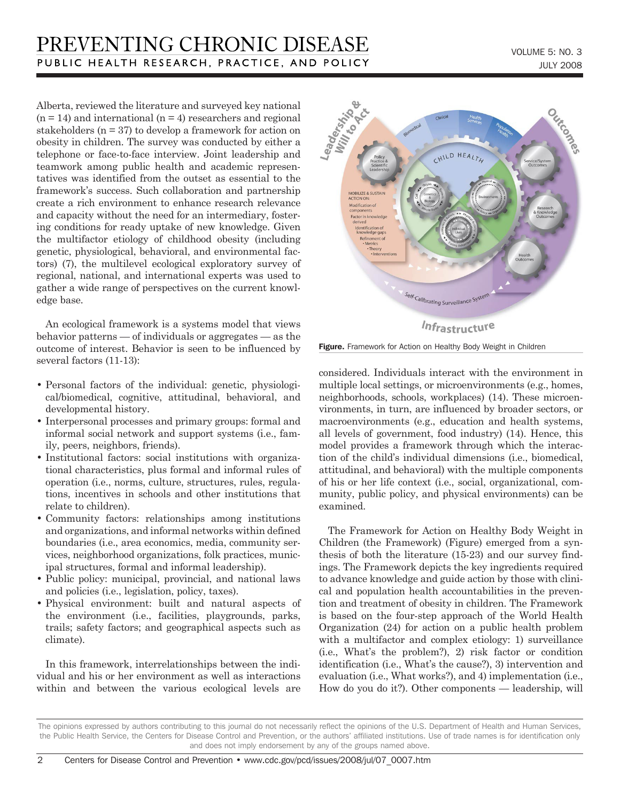Alberta, reviewed the literature and surveyed key national  $(n = 14)$  and international  $(n = 4)$  researchers and regional stakeholders ( $n = 37$ ) to develop a framework for action on obesity in children. The survey was conducted by either a telephone or face-to-face interview. Joint leadership and teamwork among public health and academic representatives was identified from the outset as essential to the framework's success. Such collaboration and partnership create a rich environment to enhance research relevance and capacity without the need for an intermediary, fostering conditions for ready uptake of new knowledge. Given the multifactor etiology of childhood obesity (including genetic, physiological, behavioral, and environmental factors) (7), the multilevel ecological exploratory survey of regional, national, and international experts was used to gather a wide range of perspectives on the current knowledge base.

An ecological framework is a systems model that views behavior patterns — of individuals or aggregates — as the outcome of interest. Behavior is seen to be influenced by several factors (11-13):

- Personal factors of the individual: genetic, physiological/biomedical, cognitive, attitudinal, behavioral, and developmental history.
- Interpersonal processes and primary groups: formal and informal social network and support systems (i.e., family, peers, neighbors, friends).
- Institutional factors: social institutions with organizational characteristics, plus formal and informal rules of operation (i.e., norms, culture, structures, rules, regulations, incentives in schools and other institutions that relate to children).
- Community factors: relationships among institutions and organizations, and informal networks within defined boundaries (i.e., area economics, media, community services, neighborhood organizations, folk practices, municipal structures, formal and informal leadership).
- Public policy: municipal, provincial, and national laws and policies (i.e., legislation, policy, taxes).
- Physical environment: built and natural aspects of the environment (i.e., facilities, playgrounds, parks, trails; safety factors; and geographical aspects such as climate).

In this framework, interrelationships between the individual and his or her environment as well as interactions within and between the various ecological levels are



Figure. Framework for Action on Healthy Body Weight in Children

considered. Individuals interact with the environment in multiple local settings, or microenvironments (e.g., homes, neighborhoods, schools, workplaces) (14). These microenvironments, in turn, are influenced by broader sectors, or macroenvironments (e.g., education and health systems, all levels of government, food industry) (14). Hence, this model provides a framework through which the interaction of the child's individual dimensions (i.e., biomedical, attitudinal, and behavioral) with the multiple components of his or her life context (i.e., social, organizational, community, public policy, and physical environments) can be examined.

The Framework for Action on Healthy Body Weight in Children (the Framework) (Figure) emerged from a synthesis of both the literature (15-23) and our survey findings. The Framework depicts the key ingredients required to advance knowledge and guide action by those with clinical and population health accountabilities in the prevention and treatment of obesity in children. The Framework is based on the four-step approach of the World Health Organization (24) for action on a public health problem with a multifactor and complex etiology: 1) surveillance (i.e., What's the problem?), 2) risk factor or condition identification (i.e., What's the cause?), 3) intervention and evaluation (i.e., What works?), and 4) implementation (i.e., How do you do it?). Other components — leadership, will

The opinions expressed by authors contributing to this journal do not necessarily reflect the opinions of the U.S. Department of Health and Human Services, the Public Health Service, the Centers for Disease Control and Prevention, or the authors' affiliated institutions. Use of trade names is for identification only and does not imply endorsement by any of the groups named above.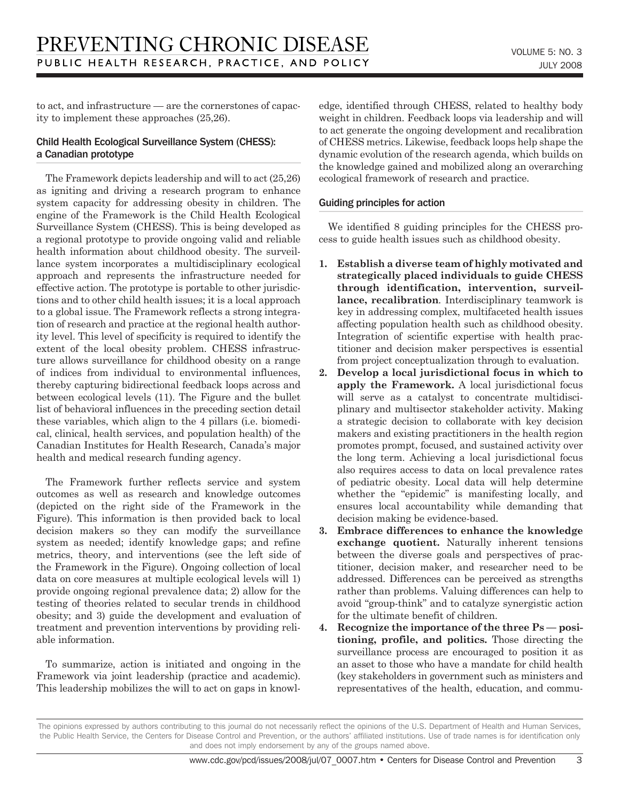to act, and infrastructure — are the cornerstones of capacity to implement these approaches (25,26).

#### Child Health Ecological Surveillance System (CHESS): a Canadian prototype

The Framework depicts leadership and will to act (25,26) as igniting and driving a research program to enhance system capacity for addressing obesity in children. The engine of the Framework is the Child Health Ecological Surveillance System (CHESS). This is being developed as a regional prototype to provide ongoing valid and reliable health information about childhood obesity. The surveillance system incorporates a multidisciplinary ecological approach and represents the infrastructure needed for effective action. The prototype is portable to other jurisdictions and to other child health issues; it is a local approach to a global issue. The Framework reflects a strong integration of research and practice at the regional health authority level. This level of specificity is required to identify the extent of the local obesity problem. CHESS infrastructure allows surveillance for childhood obesity on a range of indices from individual to environmental influences, thereby capturing bidirectional feedback loops across and between ecological levels (11). The Figure and the bullet list of behavioral influences in the preceding section detail these variables, which align to the 4 pillars (i.e. biomedical, clinical, health services, and population health) of the Canadian Institutes for Health Research, Canada's major health and medical research funding agency.

The Framework further reflects service and system outcomes as well as research and knowledge outcomes (depicted on the right side of the Framework in the Figure). This information is then provided back to local decision makers so they can modify the surveillance system as needed; identify knowledge gaps; and refine metrics, theory, and interventions (see the left side of the Framework in the Figure). Ongoing collection of local data on core measures at multiple ecological levels will 1) provide ongoing regional prevalence data; 2) allow for the testing of theories related to secular trends in childhood obesity; and 3) guide the development and evaluation of treatment and prevention interventions by providing reliable information.

To summarize, action is initiated and ongoing in the Framework via joint leadership (practice and academic). This leadership mobilizes the will to act on gaps in knowledge, identified through CHESS, related to healthy body weight in children. Feedback loops via leadership and will to act generate the ongoing development and recalibration of CHESS metrics. Likewise, feedback loops help shape the dynamic evolution of the research agenda, which builds on the knowledge gained and mobilized along an overarching ecological framework of research and practice.

#### Guiding principles for action

We identified 8 guiding principles for the CHESS process to guide health issues such as childhood obesity.

- **1. Establish a diverse team of highly motivated and strategically placed individuals to guide CHESS through identification, intervention, surveillance, recalibration***.* Interdisciplinary teamwork is key in addressing complex, multifaceted health issues affecting population health such as childhood obesity. Integration of scientific expertise with health practitioner and decision maker perspectives is essential from project conceptualization through to evaluation.
- **2. Develop a local jurisdictional focus in which to apply the Framework.** A local jurisdictional focus will serve as a catalyst to concentrate multidisciplinary and multisector stakeholder activity. Making a strategic decision to collaborate with key decision makers and existing practitioners in the health region promotes prompt, focused, and sustained activity over the long term. Achieving a local jurisdictional focus also requires access to data on local prevalence rates of pediatric obesity. Local data will help determine whether the "epidemic" is manifesting locally, and ensures local accountability while demanding that decision making be evidence-based.
- **3. Embrace differences to enhance the knowledge exchange quotient.** Naturally inherent tensions between the diverse goals and perspectives of practitioner, decision maker, and researcher need to be addressed. Differences can be perceived as strengths rather than problems. Valuing differences can help to avoid "group-think" and to catalyze synergistic action for the ultimate benefit of children.
- **4. Recognize the importance of the three Ps — positioning, profile, and politics.** Those directing the surveillance process are encouraged to position it as an asset to those who have a mandate for child health (key stakeholders in government such as ministers and representatives of the health, education, and commu-

The opinions expressed by authors contributing to this journal do not necessarily reflect the opinions of the U.S. Department of Health and Human Services, the Public Health Service, the Centers for Disease Control and Prevention, or the authors' affiliated institutions. Use of trade names is for identification only and does not imply endorsement by any of the groups named above.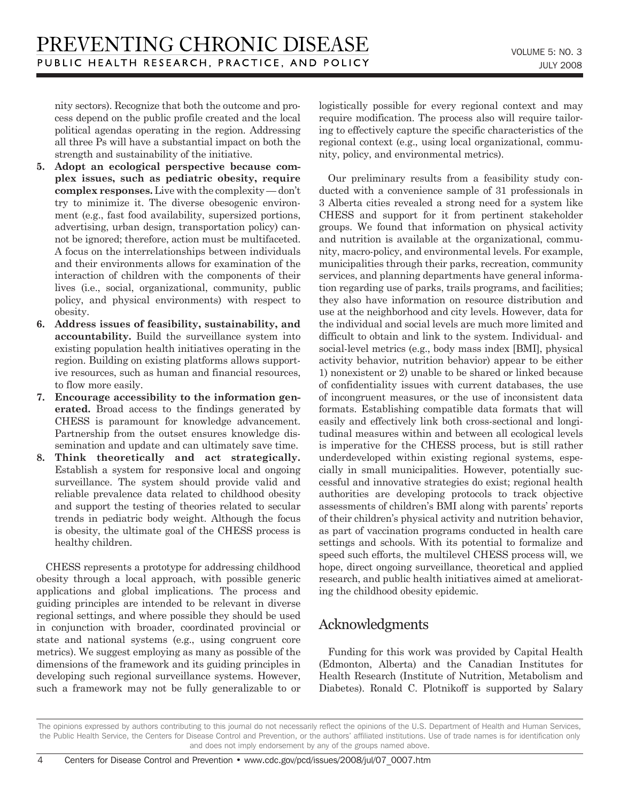nity sectors). Recognize that both the outcome and process depend on the public profile created and the local political agendas operating in the region. Addressing all three Ps will have a substantial impact on both the strength and sustainability of the initiative.

- **5. Adopt an ecological perspective because complex issues, such as pediatric obesity, require complex responses.** Live with the complexity — don't try to minimize it. The diverse obesogenic environment (e.g., fast food availability, supersized portions, advertising, urban design, transportation policy) cannot be ignored; therefore, action must be multifaceted. A focus on the interrelationships between individuals and their environments allows for examination of the interaction of children with the components of their lives (i.e., social, organizational, community, public policy, and physical environments) with respect to obesity.
- **6. Address issues of feasibility, sustainability, and accountability.** Build the surveillance system into existing population health initiatives operating in the region. Building on existing platforms allows supportive resources, such as human and financial resources, to flow more easily.
- **7. Encourage accessibility to the information generated.** Broad access to the findings generated by CHESS is paramount for knowledge advancement. Partnership from the outset ensures knowledge dissemination and update and can ultimately save time.
- **8. Think theoretically and act strategically.** Establish a system for responsive local and ongoing surveillance. The system should provide valid and reliable prevalence data related to childhood obesity and support the testing of theories related to secular trends in pediatric body weight. Although the focus is obesity, the ultimate goal of the CHESS process is healthy children.

CHESS represents a prototype for addressing childhood obesity through a local approach, with possible generic applications and global implications. The process and guiding principles are intended to be relevant in diverse regional settings, and where possible they should be used in conjunction with broader, coordinated provincial or state and national systems (e.g., using congruent core metrics). We suggest employing as many as possible of the dimensions of the framework and its guiding principles in developing such regional surveillance systems. However, such a framework may not be fully generalizable to or logistically possible for every regional context and may require modification. The process also will require tailoring to effectively capture the specific characteristics of the regional context (e.g., using local organizational, community, policy, and environmental metrics).

Our preliminary results from a feasibility study conducted with a convenience sample of 31 professionals in 3 Alberta cities revealed a strong need for a system like CHESS and support for it from pertinent stakeholder groups. We found that information on physical activity and nutrition is available at the organizational, community, macro-policy, and environmental levels. For example, municipalities through their parks, recreation, community services, and planning departments have general information regarding use of parks, trails programs, and facilities; they also have information on resource distribution and use at the neighborhood and city levels. However, data for the individual and social levels are much more limited and difficult to obtain and link to the system. Individual- and social-level metrics (e.g., body mass index [BMI], physical activity behavior, nutrition behavior) appear to be either 1) nonexistent or 2) unable to be shared or linked because of confidentiality issues with current databases, the use of incongruent measures, or the use of inconsistent data formats. Establishing compatible data formats that will easily and effectively link both cross-sectional and longitudinal measures within and between all ecological levels is imperative for the CHESS process, but is still rather underdeveloped within existing regional systems, especially in small municipalities. However, potentially successful and innovative strategies do exist; regional health authorities are developing protocols to track objective assessments of children's BMI along with parents' reports of their children's physical activity and nutrition behavior, as part of vaccination programs conducted in health care settings and schools. With its potential to formalize and speed such efforts, the multilevel CHESS process will, we hope, direct ongoing surveillance, theoretical and applied research, and public health initiatives aimed at ameliorating the childhood obesity epidemic.

## Acknowledgments

Funding for this work was provided by Capital Health (Edmonton, Alberta) and the Canadian Institutes for Health Research (Institute of Nutrition, Metabolism and Diabetes). Ronald C. Plotnikoff is supported by Salary

The opinions expressed by authors contributing to this journal do not necessarily reflect the opinions of the U.S. Department of Health and Human Services, the Public Health Service, the Centers for Disease Control and Prevention, or the authors' affiliated institutions. Use of trade names is for identification only and does not imply endorsement by any of the groups named above.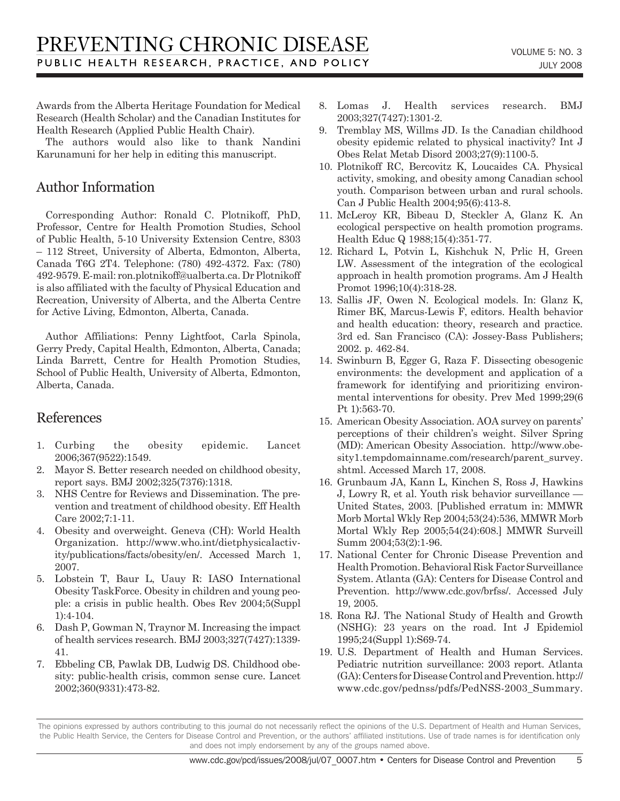Awards from the Alberta Heritage Foundation for Medical Research (Health Scholar) and the Canadian Institutes for Health Research (Applied Public Health Chair).

The authors would also like to thank Nandini Karunamuni for her help in editing this manuscript.

## Author Information

Corresponding Author: Ronald C. Plotnikoff, PhD, Professor, Centre for Health Promotion Studies, School of Public Health, 5-10 University Extension Centre, 8303 – 112 Street, University of Alberta, Edmonton, Alberta, Canada T6G 2T4. Telephone: (780) 492-4372. Fax: (780) 492-9579. E-mail: ron.plotnikoff@ualberta.ca. Dr Plotnikoff is also affiliated with the faculty of Physical Education and Recreation, University of Alberta, and the Alberta Centre for Active Living, Edmonton, Alberta, Canada.

Author Affiliations: Penny Lightfoot, Carla Spinola, Gerry Predy, Capital Health, Edmonton, Alberta, Canada; Linda Barrett, Centre for Health Promotion Studies, School of Public Health, University of Alberta, Edmonton, Alberta, Canada.

## References

- 1. Curbing the obesity epidemic. Lancet 2006;367(9522):1549.
- 2. Mayor S. Better research needed on childhood obesity, report says. BMJ 2002;325(7376):1318.
- 3. NHS Centre for Reviews and Dissemination. The prevention and treatment of childhood obesity. Eff Health Care 2002;7:1-11.
- 4. Obesity and overweight. Geneva (CH): World Health Organization. http://www.who.int/dietphysicalactivity/publications/facts/obesity/en/. Accessed March 1, 2007.
- 5. Lobstein T, Baur L, Uauy R: IASO International Obesity TaskForce. Obesity in children and young people: a crisis in public health. Obes Rev 2004;5(Suppl 1):4-104.
- 6. Dash P, Gowman N, Traynor M. Increasing the impact of health services research. BMJ 2003;327(7427):1339- 41.
- 7. Ebbeling CB, Pawlak DB, Ludwig DS. Childhood obesity: public-health crisis, common sense cure. Lancet 2002;360(9331):473-82.
- 8. Lomas J. Health services research. BMJ 2003;327(7427):1301-2.
- 9. Tremblay MS, Willms JD. Is the Canadian childhood obesity epidemic related to physical inactivity? Int J Obes Relat Metab Disord 2003;27(9):1100-5.
- 10. Plotnikoff RC, Bercovitz K, Loucaides CA. Physical activity, smoking, and obesity among Canadian school youth. Comparison between urban and rural schools. Can J Public Health 2004;95(6):413-8.
- 11. McLeroy KR, Bibeau D, Steckler A, Glanz K. An ecological perspective on health promotion programs. Health Educ Q 1988;15(4):351-77.
- 12. Richard L, Potvin L, Kishchuk N, Prlic H, Green LW. Assessment of the integration of the ecological approach in health promotion programs. Am J Health Promot 1996;10(4):318-28.
- 13. Sallis JF, Owen N. Ecological models. In: Glanz K, Rimer BK, Marcus-Lewis F, editors. Health behavior and health education: theory, research and practice*.* 3rd ed. San Francisco (CA): Jossey-Bass Publishers; 2002. p. 462-84.
- 14. Swinburn B, Egger G, Raza F. Dissecting obesogenic environments: the development and application of a framework for identifying and prioritizing environmental interventions for obesity. Prev Med 1999;29(6 Pt 1):563-70.
- 15. American Obesity Association. AOA survey on parents' perceptions of their children's weight. Silver Spring (MD): American Obesity Association. http://www.obesity1.tempdomainname.com/research/parent\_survey. shtml. Accessed March 17, 2008.
- 16. Grunbaum JA, Kann L, Kinchen S, Ross J, Hawkins J, Lowry R, et al. Youth risk behavior surveillance — United States, 2003. [Published erratum in: MMWR Morb Mortal Wkly Rep 2004;53(24):536, MMWR Morb Mortal Wkly Rep 2005;54(24):608.] MMWR Surveill Summ 2004;53(2):1-96.
- 17. National Center for Chronic Disease Prevention and Health Promotion. Behavioral Risk Factor Surveillance System. Atlanta (GA): Centers for Disease Control and Prevention. http://www.cdc.gov/brfss/. Accessed July 19, 2005.
- 18. Rona RJ. The National Study of Health and Growth (NSHG): 23 years on the road. Int J Epidemiol 1995;24(Suppl 1):S69-74.
- 19. U.S. Department of Health and Human Services. Pediatric nutrition surveillance: 2003 report. Atlanta (GA): Centers for Disease Control and Prevention. http:// www.cdc.gov/pednss/pdfs/PedNSS-2003\_Summary.

The opinions expressed by authors contributing to this journal do not necessarily reflect the opinions of the U.S. Department of Health and Human Services, the Public Health Service, the Centers for Disease Control and Prevention, or the authors' affiliated institutions. Use of trade names is for identification only and does not imply endorsement by any of the groups named above.